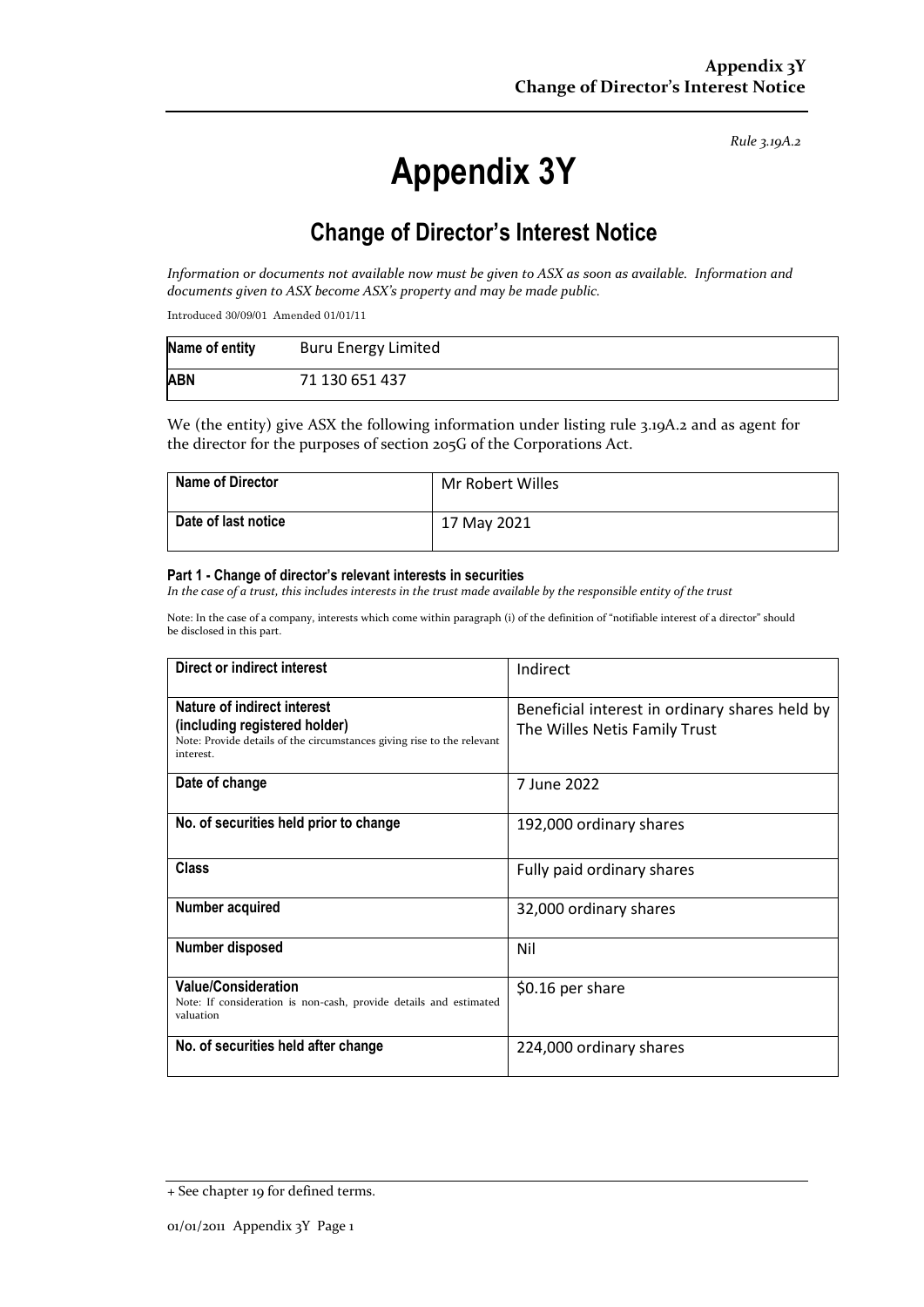*Rule 3.19A.2*

# **Appendix 3Y**

# **Change of Director's Interest Notice**

*Information or documents not available now must be given to ASX as soon as available. Information and documents given to ASX become ASX's property and may be made public.*

Introduced 30/09/01 Amended 01/01/11

| Name of entity | <b>Buru Energy Limited</b> |
|----------------|----------------------------|
| <b>ABN</b>     | 71 130 651 437             |

We (the entity) give ASX the following information under listing rule 3.19A.2 and as agent for the director for the purposes of section 205G of the Corporations Act.

| Name of Director    | Mr Robert Willes |
|---------------------|------------------|
| Date of last notice | 17 May 2021      |

#### **Part 1 - Change of director's relevant interests in securities**

*In the case of a trust, this includes interests in the trust made available by the responsible entity of the trust*

Note: In the case of a company, interests which come within paragraph (i) of the definition of "notifiable interest of a director" should be disclosed in this part.

| Direct or indirect interest                                                                                                                         | Indirect                                                                        |  |
|-----------------------------------------------------------------------------------------------------------------------------------------------------|---------------------------------------------------------------------------------|--|
| Nature of indirect interest<br>(including registered holder)<br>Note: Provide details of the circumstances giving rise to the relevant<br>interest. | Beneficial interest in ordinary shares held by<br>The Willes Netis Family Trust |  |
| Date of change                                                                                                                                      | 7 June 2022                                                                     |  |
| No. of securities held prior to change                                                                                                              | 192,000 ordinary shares                                                         |  |
| <b>Class</b>                                                                                                                                        | Fully paid ordinary shares                                                      |  |
| Number acquired                                                                                                                                     | 32,000 ordinary shares                                                          |  |
| <b>Number disposed</b>                                                                                                                              | Nil                                                                             |  |
| <b>Value/Consideration</b><br>Note: If consideration is non-cash, provide details and estimated<br>valuation                                        | \$0.16 per share                                                                |  |
| No. of securities held after change                                                                                                                 | 224,000 ordinary shares                                                         |  |

<sup>+</sup> See chapter 19 for defined terms.